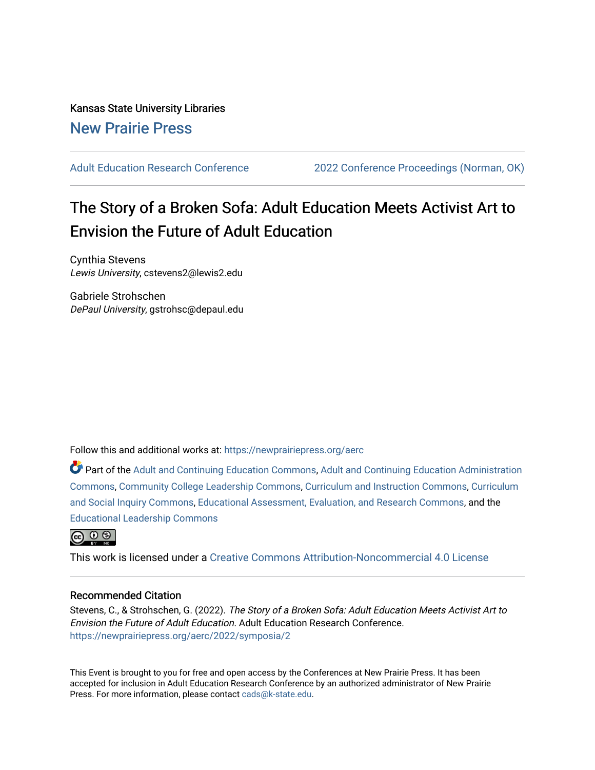Kansas State University Libraries [New Prairie Press](https://newprairiepress.org/) 

[Adult Education Research Conference](https://newprairiepress.org/aerc) [2022 Conference Proceedings \(Norman, OK\)](https://newprairiepress.org/aerc/2022) 

# The Story of a Broken Sofa: Adult Education Meets Activist Art to Envision the Future of Adult Education

Cynthia Stevens Lewis University, cstevens2@lewis2.edu

Gabriele Strohschen DePaul University, gstrohsc@depaul.edu

Follow this and additional works at: [https://newprairiepress.org/aerc](https://newprairiepress.org/aerc?utm_source=newprairiepress.org%2Faerc%2F2022%2Fsymposia%2F2&utm_medium=PDF&utm_campaign=PDFCoverPages)

Part of the [Adult and Continuing Education Commons,](https://network.bepress.com/hgg/discipline/1375?utm_source=newprairiepress.org%2Faerc%2F2022%2Fsymposia%2F2&utm_medium=PDF&utm_campaign=PDFCoverPages) [Adult and Continuing Education Administration](https://network.bepress.com/hgg/discipline/789?utm_source=newprairiepress.org%2Faerc%2F2022%2Fsymposia%2F2&utm_medium=PDF&utm_campaign=PDFCoverPages) [Commons](https://network.bepress.com/hgg/discipline/789?utm_source=newprairiepress.org%2Faerc%2F2022%2Fsymposia%2F2&utm_medium=PDF&utm_campaign=PDFCoverPages), [Community College Leadership Commons,](https://network.bepress.com/hgg/discipline/1039?utm_source=newprairiepress.org%2Faerc%2F2022%2Fsymposia%2F2&utm_medium=PDF&utm_campaign=PDFCoverPages) [Curriculum and Instruction Commons,](https://network.bepress.com/hgg/discipline/786?utm_source=newprairiepress.org%2Faerc%2F2022%2Fsymposia%2F2&utm_medium=PDF&utm_campaign=PDFCoverPages) [Curriculum](https://network.bepress.com/hgg/discipline/1038?utm_source=newprairiepress.org%2Faerc%2F2022%2Fsymposia%2F2&utm_medium=PDF&utm_campaign=PDFCoverPages)  [and Social Inquiry Commons](https://network.bepress.com/hgg/discipline/1038?utm_source=newprairiepress.org%2Faerc%2F2022%2Fsymposia%2F2&utm_medium=PDF&utm_campaign=PDFCoverPages), [Educational Assessment, Evaluation, and Research Commons,](https://network.bepress.com/hgg/discipline/796?utm_source=newprairiepress.org%2Faerc%2F2022%2Fsymposia%2F2&utm_medium=PDF&utm_campaign=PDFCoverPages) and the [Educational Leadership Commons](https://network.bepress.com/hgg/discipline/1230?utm_source=newprairiepress.org%2Faerc%2F2022%2Fsymposia%2F2&utm_medium=PDF&utm_campaign=PDFCoverPages)



This work is licensed under a [Creative Commons Attribution-Noncommercial 4.0 License](https://creativecommons.org/licenses/by-nc/4.0/)

## Recommended Citation

Stevens, C., & Strohschen, G. (2022). The Story of a Broken Sofa: Adult Education Meets Activist Art to Envision the Future of Adult Education. Adult Education Research Conference. <https://newprairiepress.org/aerc/2022/symposia/2>

This Event is brought to you for free and open access by the Conferences at New Prairie Press. It has been accepted for inclusion in Adult Education Research Conference by an authorized administrator of New Prairie Press. For more information, please contact [cads@k-state.edu.](mailto:cads@k-state.edu)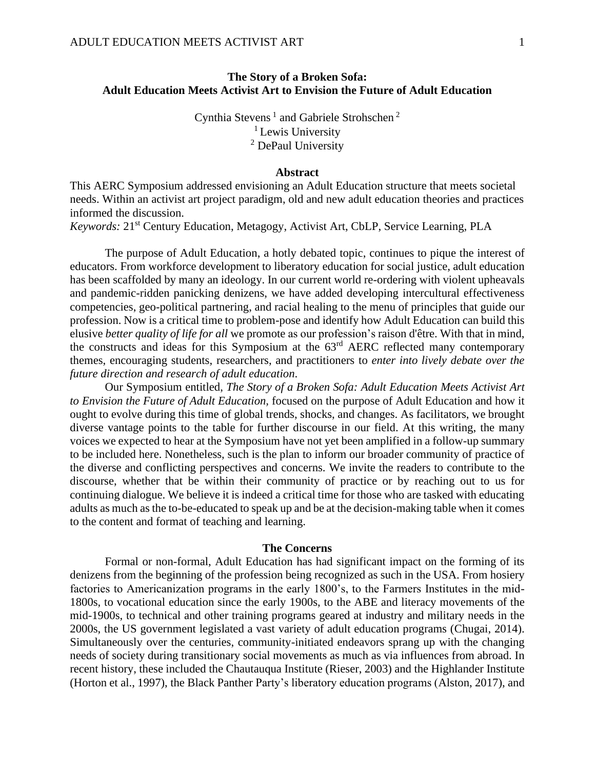## **The Story of a Broken Sofa: Adult Education Meets Activist Art to Envision the Future of Adult Education**

Cynthia Stevens<sup>1</sup> and Gabriele Strohschen<sup>2</sup> <sup>1</sup> Lewis University <sup>2</sup> DePaul University

#### **Abstract**

This AERC Symposium addressed envisioning an Adult Education structure that meets societal needs. Within an activist art project paradigm, old and new adult education theories and practices informed the discussion.

*Keywords:* 21st Century Education, Metagogy, Activist Art, CbLP, Service Learning, PLA

The purpose of Adult Education, a hotly debated topic, continues to pique the interest of educators. From workforce development to liberatory education for social justice, adult education has been scaffolded by many an ideology. In our current world re-ordering with violent upheavals and pandemic-ridden panicking denizens, we have added developing intercultural effectiveness competencies, geo-political partnering, and racial healing to the menu of principles that guide our profession. Now is a critical time to problem-pose and identify how Adult Education can build this elusive *better quality of life for all* we promote as our profession's raison d'être. With that in mind, the constructs and ideas for this Symposium at the 63rd AERC reflected many contemporary themes, encouraging students, researchers, and practitioners to *enter into lively debate over the future direction and research of adult education*.

Our Symposium entitled, *The Story of a Broken Sofa: Adult Education Meets Activist Art to Envision the Future of Adult Education,* focused on the purpose of Adult Education and how it ought to evolve during this time of global trends, shocks, and changes. As facilitators, we brought diverse vantage points to the table for further discourse in our field. At this writing, the many voices we expected to hear at the Symposium have not yet been amplified in a follow-up summary to be included here. Nonetheless, such is the plan to inform our broader community of practice of the diverse and conflicting perspectives and concerns. We invite the readers to contribute to the discourse, whether that be within their community of practice or by reaching out to us for continuing dialogue. We believe it is indeed a critical time for those who are tasked with educating adults as much as the to-be-educated to speak up and be at the decision-making table when it comes to the content and format of teaching and learning.

#### **The Concerns**

Formal or non-formal, Adult Education has had significant impact on the forming of its denizens from the beginning of the profession being recognized as such in the USA. From hosiery factories to Americanization programs in the early 1800's, to the Farmers Institutes in the mid-1800s, to vocational education since the early 1900s, to the ABE and literacy movements of the mid-1900s, to technical and other training programs geared at industry and military needs in the 2000s, the US government legislated a vast variety of adult education programs (Chugai, 2014). Simultaneously over the centuries, community-initiated endeavors sprang up with the changing needs of society during transitionary social movements as much as via influences from abroad. In recent history, these included the Chautauqua Institute (Rieser, 2003) and the Highlander Institute (Horton et al., 1997), the Black Panther Party's liberatory education programs (Alston, 2017), and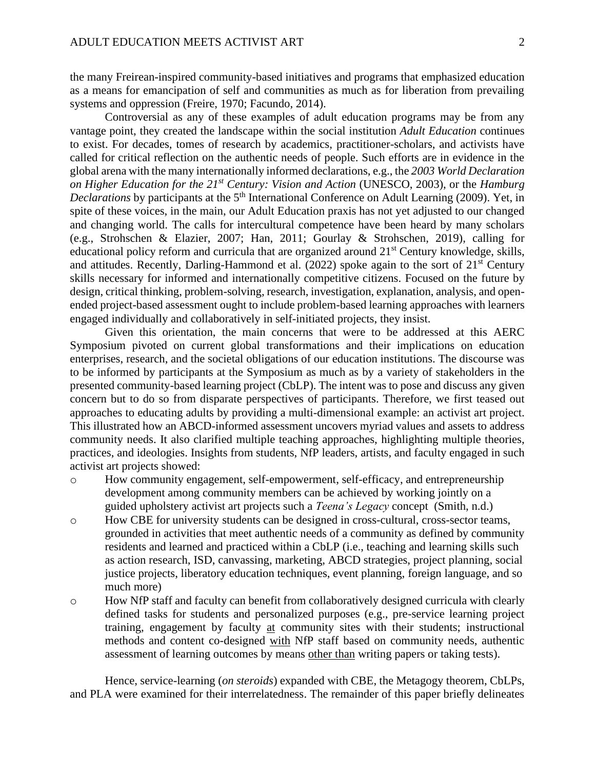the many Freirean-inspired community-based initiatives and programs that emphasized education as a means for emancipation of self and communities as much as for liberation from prevailing systems and oppression (Freire, 1970; Facundo, 2014).

Controversial as any of these examples of adult education programs may be from any vantage point, they created the landscape within the social institution *Adult Education* continues to exist. For decades, tomes of research by academics, practitioner-scholars, and activists have called for critical reflection on the authentic needs of people. Such efforts are in evidence in the global arena with the many internationally informed declarations, e.g., the *2003 World Declaration on Higher Education for the 21st Century: Vision and Action* (UNESCO, 2003), or the *Hamburg Declarations* by participants at the 5<sup>th</sup> International Conference on Adult Learning (2009). Yet, in spite of these voices, in the main, our Adult Education praxis has not yet adjusted to our changed and changing world. The calls for intercultural competence have been heard by many scholars (e.g., Strohschen & Elazier, 2007; Han, 2011; Gourlay & Strohschen, 2019), calling for educational policy reform and curricula that are organized around 21<sup>st</sup> Century knowledge, skills, and attitudes. Recently, Darling-Hammond et al.  $(2022)$  spoke again to the sort of  $21<sup>st</sup>$  Century skills necessary for informed and internationally competitive citizens. Focused on the future by design, critical thinking, problem-solving, research, investigation, explanation, analysis, and openended project-based assessment ought to include problem-based learning approaches with learners engaged individually and collaboratively in self-initiated projects, they insist.

Given this orientation, the main concerns that were to be addressed at this AERC Symposium pivoted on current global transformations and their implications on education enterprises, research, and the societal obligations of our education institutions. The discourse was to be informed by participants at the Symposium as much as by a variety of stakeholders in the presented community-based learning project (CbLP). The intent was to pose and discuss any given concern but to do so from disparate perspectives of participants. Therefore, we first teased out approaches to educating adults by providing a multi-dimensional example: an activist art project. This illustrated how an ABCD-informed assessment uncovers myriad values and assets to address community needs. It also clarified multiple teaching approaches, highlighting multiple theories, practices, and ideologies. Insights from students, NfP leaders, artists, and faculty engaged in such activist art projects showed:

- o How community engagement, self-empowerment, self-efficacy, and entrepreneurship development among community members can be achieved by working jointly on a guided upholstery activist art projects such a *Teena's Legacy* concept (Smith, n.d.)
- o How CBE for university students can be designed in cross-cultural, cross-sector teams, grounded in activities that meet authentic needs of a community as defined by community residents and learned and practiced within a CbLP (i.e., teaching and learning skills such as action research, ISD, canvassing, marketing, ABCD strategies, project planning, social justice projects, liberatory education techniques, event planning, foreign language, and so much more)
- $\circ$  How NfP staff and faculty can benefit from collaboratively designed curricula with clearly defined tasks for students and personalized purposes (e.g., pre-service learning project training, engagement by faculty at community sites with their students; instructional methods and content co-designed with NfP staff based on community needs, authentic assessment of learning outcomes by means other than writing papers or taking tests).

Hence, service-learning (*on steroids*) expanded with CBE, the Metagogy theorem, CbLPs, and PLA were examined for their interrelatedness. The remainder of this paper briefly delineates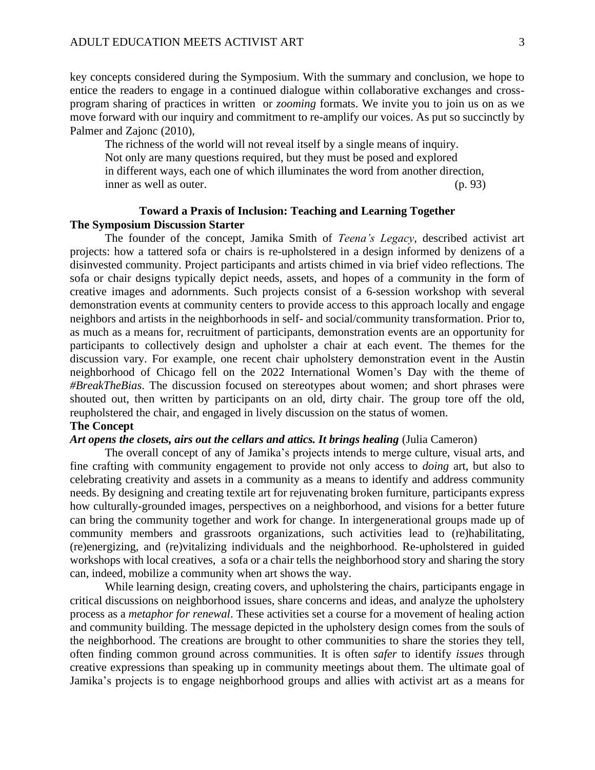key concepts considered during the Symposium. With the summary and conclusion, we hope to entice the readers to engage in a continued dialogue within collaborative exchanges and crossprogram sharing of practices in written or *zooming* formats. We invite you to join us on as we move forward with our inquiry and commitment to re-amplify our voices. As put so succinctly by Palmer and Zajonc (2010),

The richness of the world will not reveal itself by a single means of inquiry. Not only are many questions required, but they must be posed and explored in different ways, each one of which illuminates the word from another direction, inner as well as outer. (p. 93)

# **Toward a Praxis of Inclusion: Teaching and Learning Together The Symposium Discussion Starter**

The founder of the concept, Jamika Smith of *Teena's Legacy*, described activist art projects: how a tattered sofa or chairs is re-upholstered in a design informed by denizens of a disinvested community. Project participants and artists chimed in via brief video reflections. The sofa or chair designs typically depict needs, assets, and hopes of a community in the form of creative images and adornments. Such projects consist of a 6-session workshop with several demonstration events at community centers to provide access to this approach locally and engage neighbors and artists in the neighborhoods in self- and social/community transformation. Prior to, as much as a means for, recruitment of participants, demonstration events are an opportunity for participants to collectively design and upholster a chair at each event. The themes for the discussion vary. For example, one recent chair upholstery demonstration event in the Austin neighborhood of Chicago fell on the 2022 International Women's Day with the theme of *#BreakTheBias*. The discussion focused on stereotypes about women; and short phrases were shouted out, then written by participants on an old, dirty chair. The group tore off the old, reupholstered the chair, and engaged in lively discussion on the status of women.

# **The Concept**

#### *Art opens the closets, airs out the cellars and attics. It brings healing* (Julia Cameron)

The overall concept of any of Jamika's projects intends to merge culture, visual arts, and fine crafting with community engagement to provide not only access to *doing* art, but also to celebrating creativity and assets in a community as a means to identify and address community needs. By designing and creating textile art for rejuvenating broken furniture, participants express how culturally-grounded images, perspectives on a neighborhood, and visions for a better future can bring the community together and work for change. In intergenerational groups made up of community members and grassroots organizations, such activities lead to (re)habilitating, (re)energizing, and (re)vitalizing individuals and the neighborhood. Re-upholstered in guided workshops with local creatives, a sofa or a chair tells the neighborhood story and sharing the story can, indeed, mobilize a community when art shows the way.

While learning design, creating covers, and upholstering the chairs, participants engage in critical discussions on neighborhood issues, share concerns and ideas, and analyze the upholstery process as a *metaphor for renewal*. These activities set a course for a movement of healing action and community building. The message depicted in the upholstery design comes from the souls of the neighborhood. The creations are brought to other communities to share the stories they tell, often finding common ground across communities. It is often *safer* to identify *issues* through creative expressions than speaking up in community meetings about them. The ultimate goal of Jamika's projects is to engage neighborhood groups and allies with activist art as a means for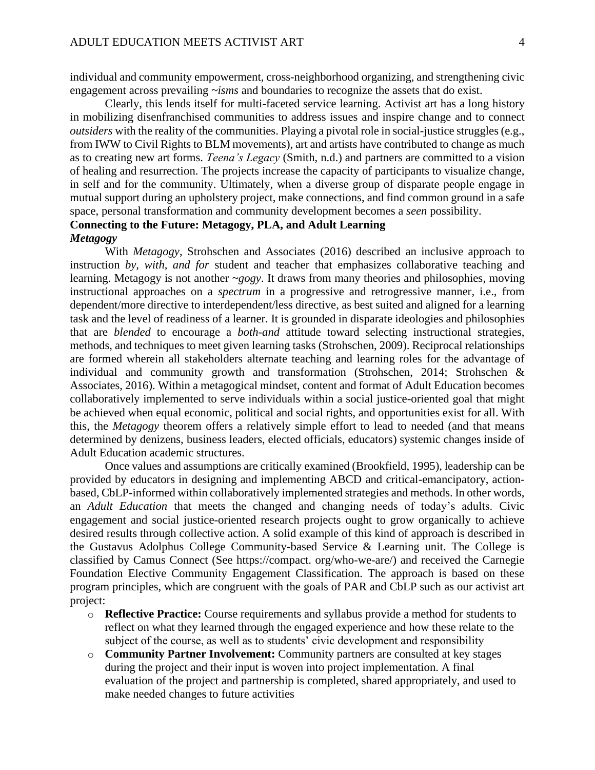individual and community empowerment, cross-neighborhood organizing, and strengthening civic engagement across prevailing *~isms* and boundaries to recognize the assets that do exist.

Clearly, this lends itself for multi-faceted service learning. Activist art has a long history in mobilizing disenfranchised communities to address issues and inspire change and to connect *outsiders* with the reality of the communities. Playing a pivotal role in social-justice struggles (e.g., from IWW to Civil Rights to BLM movements), art and artists have contributed to change as much as to creating new art forms. *Teena's Legacy* (Smith, n.d.) and partners are committed to a vision of healing and resurrection. The projects increase the capacity of participants to visualize change, in self and for the community. Ultimately, when a diverse group of disparate people engage in mutual support during an upholstery project, make connections, and find common ground in a safe space, personal transformation and community development becomes a *seen* possibility. **Connecting to the Future: Metagogy, PLA, and Adult Learning**

#### *Metagogy*

With *Metagogy*, Strohschen and Associates (2016) described an inclusive approach to instruction *by, with, and for* student and teacher that emphasizes collaborative teaching and learning. Metagogy is not another *~gogy*. It draws from many theories and philosophies, moving instructional approaches on a *spectrum* in a progressive and retrogressive manner*,* i.e., from dependent/more directive to interdependent/less directive, as best suited and aligned for a learning task and the level of readiness of a learner. It is grounded in disparate ideologies and philosophies that are *blended* to encourage a *both-and* attitude toward selecting instructional strategies, methods, and techniques to meet given learning tasks (Strohschen, 2009). Reciprocal relationships are formed wherein all stakeholders alternate teaching and learning roles for the advantage of individual and community growth and transformation (Strohschen, 2014; Strohschen & Associates, 2016). Within a metagogical mindset, content and format of Adult Education becomes collaboratively implemented to serve individuals within a social justice-oriented goal that might be achieved when equal economic, political and social rights, and opportunities exist for all. With this, the *Metagogy* theorem offers a relatively simple effort to lead to needed (and that means determined by denizens, business leaders, elected officials, educators) systemic changes inside of Adult Education academic structures.

Once values and assumptions are critically examined (Brookfield, 1995), leadership can be provided by educators in designing and implementing ABCD and critical-emancipatory, actionbased, CbLP-informed within collaboratively implemented strategies and methods. In other words, an *Adult Education* that meets the changed and changing needs of today's adults. Civic engagement and social justice-oriented research projects ought to grow organically to achieve desired results through collective action. A solid example of this kind of approach is described in the Gustavus Adolphus College Community-based Service & Learning unit. The College is classified by Camus Connect (See [https://compact. org/who-we-are/\)](https://compact.org/who-we-are/) and received the Carnegie Foundation Elective Community Engagement Classification. The approach is based on these program principles, which are congruent with the goals of PAR and CbLP such as our activist art project:

- o **Reflective Practice:** Course requirements and syllabus provide a method for students to reflect on what they learned through the engaged experience and how these relate to the subject of the course, as well as to students' civic development and responsibility
- o **Community Partner Involvement:** Community partners are consulted at key stages during the project and their input is woven into project implementation. A final evaluation of the project and partnership is completed, shared appropriately, and used to make needed changes to future activities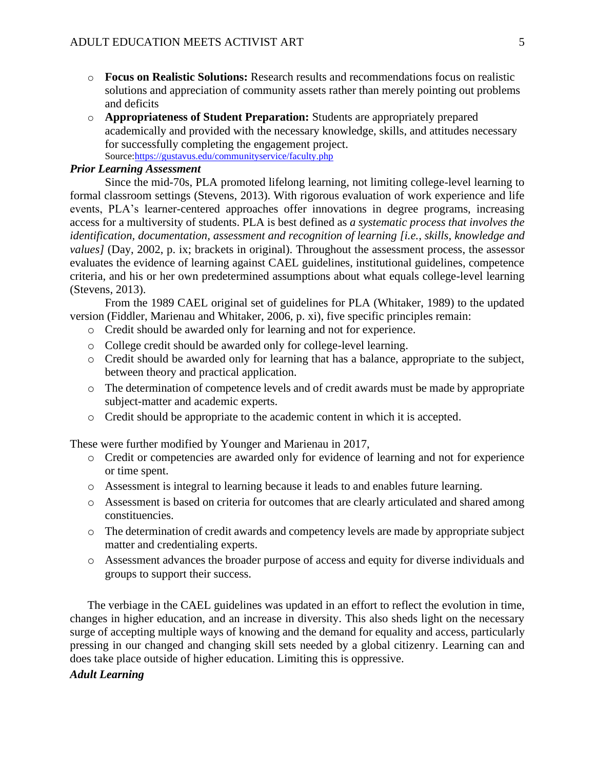- o **Focus on Realistic Solutions:** Research results and recommendations focus on realistic solutions and appreciation of community assets rather than merely pointing out problems and deficits
- o **Appropriateness of Student Preparation:** Students are appropriately prepared academically and provided with the necessary knowledge, skills, and attitudes necessary for successfully completing the engagement project. Source[:https://gustavus.edu/communityservice/faculty.php](https://gustavus.edu/communityservice/faculty.php)

## *Prior Learning Assessment*

Since the mid-70s, PLA promoted lifelong learning, not limiting college-level learning to formal classroom settings (Stevens, 2013). With rigorous evaluation of work experience and life events, PLA's learner-centered approaches offer innovations in degree programs, increasing access for a multiversity of students. PLA is best defined as *a systematic process that involves the identification, documentation, assessment and recognition of learning [i.e., skills, knowledge and values]* (Day, 2002, p. ix; brackets in original). Throughout the assessment process, the assessor evaluates the evidence of learning against CAEL guidelines, institutional guidelines, competence criteria, and his or her own predetermined assumptions about what equals college-level learning (Stevens, 2013).

From the 1989 CAEL original set of guidelines for PLA (Whitaker, 1989) to the updated version (Fiddler, Marienau and Whitaker, 2006, p. xi), five specific principles remain:

- o Credit should be awarded only for learning and not for experience.
- o College credit should be awarded only for college-level learning.
- o Credit should be awarded only for learning that has a balance, appropriate to the subject, between theory and practical application.
- o The determination of competence levels and of credit awards must be made by appropriate subject-matter and academic experts.
- o Credit should be appropriate to the academic content in which it is accepted.

These were further modified by Younger and Marienau in 2017,

- o Credit or competencies are awarded only for evidence of learning and not for experience or time spent.
- o Assessment is integral to learning because it leads to and enables future learning.
- o Assessment is based on criteria for outcomes that are clearly articulated and shared among constituencies.
- o The determination of credit awards and competency levels are made by appropriate subject matter and credentialing experts.
- o Assessment advances the broader purpose of access and equity for diverse individuals and groups to support their success.

The verbiage in the CAEL guidelines was updated in an effort to reflect the evolution in time, changes in higher education, and an increase in diversity. This also sheds light on the necessary surge of accepting multiple ways of knowing and the demand for equality and access, particularly pressing in our changed and changing skill sets needed by a global citizenry. Learning can and does take place outside of higher education. Limiting this is oppressive.

# *Adult Learning*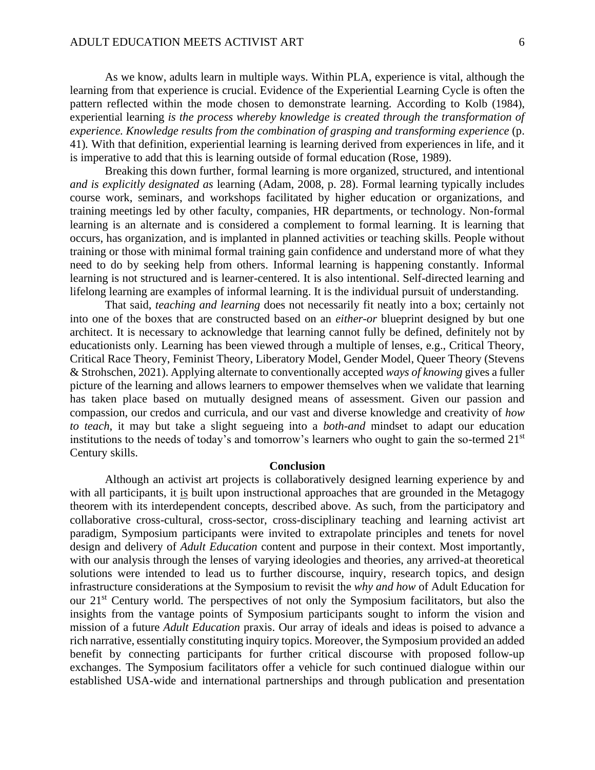As we know, adults learn in multiple ways. Within PLA, experience is vital, although the learning from that experience is crucial. Evidence of the Experiential Learning Cycle is often the pattern reflected within the mode chosen to demonstrate learning. According to Kolb (1984), experiential learning *is the process whereby knowledge is created through the transformation of experience. Knowledge results from the combination of grasping and transforming experience* (p. 41)*.* With that definition, experiential learning is learning derived from experiences in life, and it is imperative to add that this is learning outside of formal education (Rose, 1989).

Breaking this down further, formal learning is more organized, structured, and intentional *and is explicitly designated as* learning (Adam, 2008, p. 28). Formal learning typically includes course work, seminars, and workshops facilitated by higher education or organizations, and training meetings led by other faculty, companies, HR departments, or technology. Non-formal learning is an alternate and is considered a complement to formal learning. It is learning that occurs, has organization, and is implanted in planned activities or teaching skills. People without training or those with minimal formal training gain confidence and understand more of what they need to do by seeking help from others. Informal learning is happening constantly. Informal learning is not structured and is learner-centered. It is also intentional. Self-directed learning and lifelong learning are examples of informal learning. It is the individual pursuit of understanding.

That said, *teaching and learning* does not necessarily fit neatly into a box; certainly not into one of the boxes that are constructed based on an *either-or* blueprint designed by but one architect. It is necessary to acknowledge that learning cannot fully be defined, definitely not by educationists only. Learning has been viewed through a multiple of lenses, e.g., Critical Theory, Critical Race Theory, Feminist Theory, Liberatory Model, Gender Model, Queer Theory (Stevens & Strohschen, 2021). Applying alternate to conventionally accepted *ways of knowing* gives a fuller picture of the learning and allows learners to empower themselves when we validate that learning has taken place based on mutually designed means of assessment. Given our passion and compassion, our credos and curricula, and our vast and diverse knowledge and creativity of *how to teach*, it may but take a slight segueing into a *both-and* mindset to adapt our education institutions to the needs of today's and tomorrow's learners who ought to gain the so-termed  $21<sup>st</sup>$ Century skills.

#### **Conclusion**

Although an activist art projects is collaboratively designed learning experience by and with all participants, it is built upon instructional approaches that are grounded in the Metagogy theorem with its interdependent concepts, described above. As such, from the participatory and collaborative cross-cultural, cross-sector, cross-disciplinary teaching and learning activist art paradigm, Symposium participants were invited to extrapolate principles and tenets for novel design and delivery of *Adult Education* content and purpose in their context. Most importantly, with our analysis through the lenses of varying ideologies and theories, any arrived-at theoretical solutions were intended to lead us to further discourse, inquiry, research topics, and design infrastructure considerations at the Symposium to revisit the *why and how* of Adult Education for our 21st Century world. The perspectives of not only the Symposium facilitators, but also the insights from the vantage points of Symposium participants sought to inform the vision and mission of a future *Adult Education* praxis. Our array of ideals and ideas is poised to advance a rich narrative, essentially constituting inquiry topics. Moreover, the Symposium provided an added benefit by connecting participants for further critical discourse with proposed follow-up exchanges. The Symposium facilitators offer a vehicle for such continued dialogue within our established USA-wide and international partnerships and through publication and presentation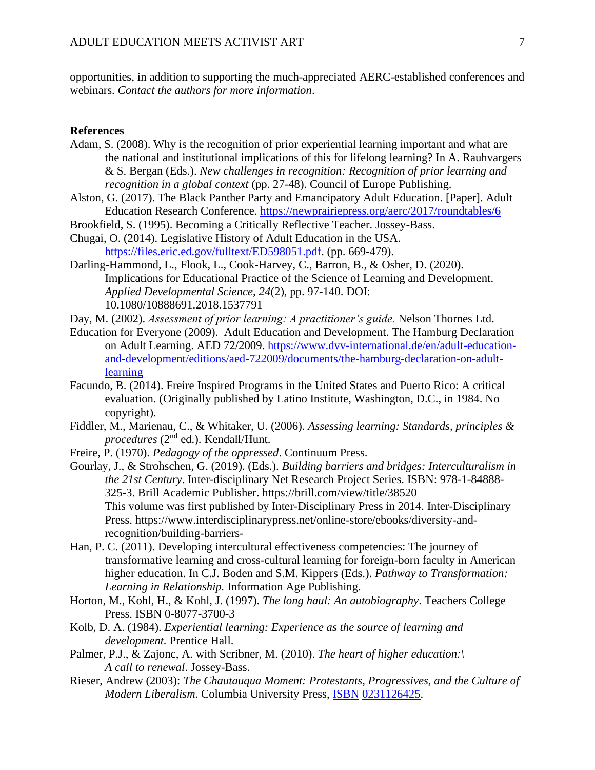opportunities, in addition to supporting the much-appreciated AERC-established conferences and webinars. *Contact the authors for more information*.

## **References**

- Adam, S. (2008). Why is the recognition of prior experiential learning important and what are the national and institutional implications of this for lifelong learning? In A. Rauhvargers & S. Bergan (Eds.). *New challenges in recognition: Recognition of prior learning and recognition in a global context* (pp. 27-48). Council of Europe Publishing.
- Alston, G. (2017). The Black Panther Party and Emancipatory Adult Education. [Paper]. Adult Education Research Conference.<https://newprairiepress.org/aerc/2017/roundtables/6>
- Brookfield, S. (1995). Becoming a Critically Reflective Teacher. Jossey-Bass.
- Chugai, O. (2014). Legislative History of Adult Education in the USA. [https://files.eric.ed.gov/fulltext/ED598051.pdf.](https://files.eric.ed.gov/fulltext/ED598051.pdf) (pp. 669-479).
- Darling-Hammond, L., Flook, L., Cook-Harvey, C., Barron, B., & Osher, D. (2020). Implications for Educational Practice of the Science of Learning and Development. *Applied Developmental Science, 24*(2), pp. 97-140. DOI: [10.1080/10888691.2018.1537791](https://doi.org/10.1080/10888691.2018.1537791)
- Day, M. (2002). *Assessment of prior learning: A practitioner's guide.* Nelson Thornes Ltd.
- Education for Everyone (2009). Adult Education and Development. The Hamburg Declaration on Adult Learning. AED 72/2009. [https://www.dvv-international.de/en/adult-education](https://www.dvv-international.de/en/adult-education-and-development/editions/aed-722009/documents/the-hamburg-declaration-on-adult-learning)[and-development/editions/aed-722009/documents/the-hamburg-declaration-on-adult](https://www.dvv-international.de/en/adult-education-and-development/editions/aed-722009/documents/the-hamburg-declaration-on-adult-learning)[learning](https://www.dvv-international.de/en/adult-education-and-development/editions/aed-722009/documents/the-hamburg-declaration-on-adult-learning)
- Facundo, B. (2014). Freire Inspired Programs in the United States and Puerto Rico: A critical evaluation. (Originally published by Latino Institute, Washington, D.C., in 1984. No copyright).
- Fiddler, M., Marienau, C., & Whitaker, U. (2006). *Assessing learning: Standards, principles & procedures* (2nd ed.). Kendall/Hunt.
- Freire, P. (1970). *Pedagogy of the oppressed*. Continuum Press.
- Gourlay, J., & Strohschen, G. (2019). (Eds.). *Building barriers and bridges: Interculturalism in the 21st Century*. Inter-disciplinary Net Research Project Series. ISBN: 978-1-84888- 325-3. Brill Academic Publisher. https://brill.com/view/title/38520 This volume was first published by Inter-Disciplinary Press in 2014. Inter-Disciplinary Press. https://www.interdisciplinarypress.net/online-store/ebooks/diversity-andrecognition/building-barriers-
- Han, P. C. (2011). Developing intercultural effectiveness competencies: The journey of transformative learning and cross-cultural learning for foreign-born faculty in American higher education. In C.J. Boden and S.M. Kippers (Eds.). *Pathway to Transformation: Learning in Relationship.* Information Age Publishing.
- Horton, M., Kohl, H., & Kohl, J. (1997). *The long haul: An autobiography*. Teachers College Press. [ISBN](https://en.wikipedia.org/wiki/ISBN_(identifier)) [0-8077-3700-3](https://en.wikipedia.org/wiki/Special:BookSources/0-8077-3700-3)
- Kolb, D. A. (1984). *Experiential learning: Experience as the source of learning and development.* Prentice Hall.
- Palmer, P.J., & Zajonc, A. with Scribner, M. (2010). *The heart of higher education:\ A call to renewal*. Jossey-Bass.
- Rieser, Andrew (2003): *The Chautauqua Moment: Protestants, Progressives, and the Culture of Modern Liberalism*. Columbia University Press, [ISBN](https://en.wikipedia.org/wiki/ISBN_(identifier)) [0231126425.](https://en.wikipedia.org/wiki/Special:BookSources/0231126425)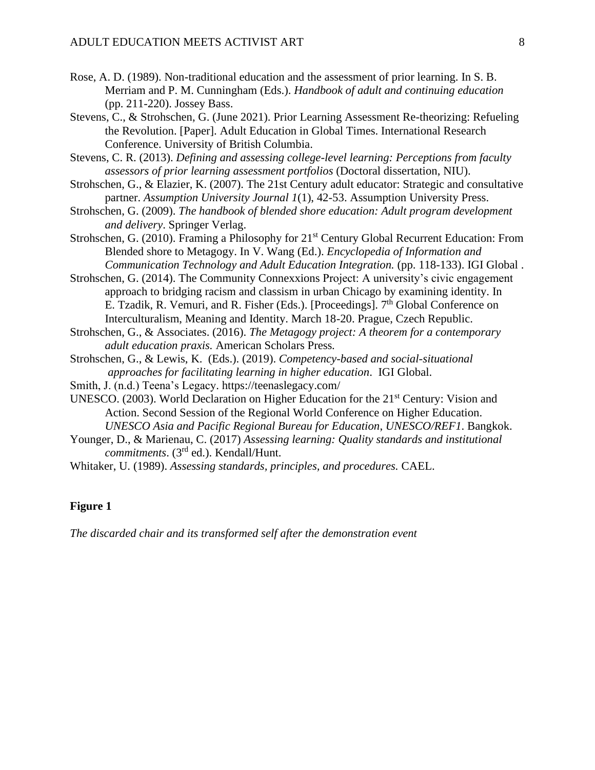- Rose, A. D. (1989). Non-traditional education and the assessment of prior learning. In S. B. Merriam and P. M. Cunningham (Eds.). *Handbook of adult and continuing education* (pp. 211-220). Jossey Bass.
- Stevens, C., & Strohschen, G. (June 2021). Prior Learning Assessment Re-theorizing: Refueling the Revolution. [Paper]. Adult Education in Global Times. International Research Conference. University of British Columbia.
- Stevens, C. R. (2013). *Defining and assessing college-level learning: Perceptions from faculty assessors of prior learning assessment portfolios* (Doctoral dissertation, NIU).
- Strohschen, G., & Elazier, K. (2007). The 21st Century adult educator: Strategic and consultative partner. *Assumption University Journal 1*(1), 42-53. Assumption University Press.
- Strohschen, G. (2009). *The handbook of blended shore education: Adult program development and delivery*. Springer Verlag.
- Strohschen, G. (2010). Framing a Philosophy for 21<sup>st</sup> Century Global Recurrent Education: From Blended shore to Metagogy. In V. Wang (Ed.). *Encyclopedia of Information and Communication Technology and Adult Education Integration.* (pp. 118-133). IGI Global .
- Strohschen, G. (2014). The Community Connexxions Project: A university's civic engagement approach to bridging racism and classism in urban Chicago by examining identity. In E. Tzadik, R. Vemuri, and R. Fisher (Eds.). [Proceedings]. 7<sup>th</sup> Global Conference on Interculturalism, Meaning and Identity. March 18-20. Prague, Czech Republic.
- Strohschen, G., & Associates. (2016). *The Metagogy project: A theorem for a contemporary adult education praxis.* American Scholars Press*.*
- Strohschen, G., & Lewis, K. (Eds.). (2019). *Competency-based and social-situational approaches for facilitating learning in higher education*. IGI Global.
- Smith, J. (n.d.) Teena's Legacy. https://teenaslegacy.com/
- UNESCO. (2003). World Declaration on Higher Education for the 21st Century: Vision and Action. Second Session of the Regional World Conference on Higher Education. *UNESCO Asia and Pacific Regional Bureau for Education*, *UNESCO/REF1*. Bangkok.
- Younger, D., & Marienau, C. (2017) *Assessing learning: Quality standards and institutional commitments*. (3rd ed.). Kendall/Hunt.

Whitaker, U. (1989). *Assessing standards, principles, and procedures.* CAEL.

## **Figure 1**

*The discarded chair and its transformed self after the demonstration event*